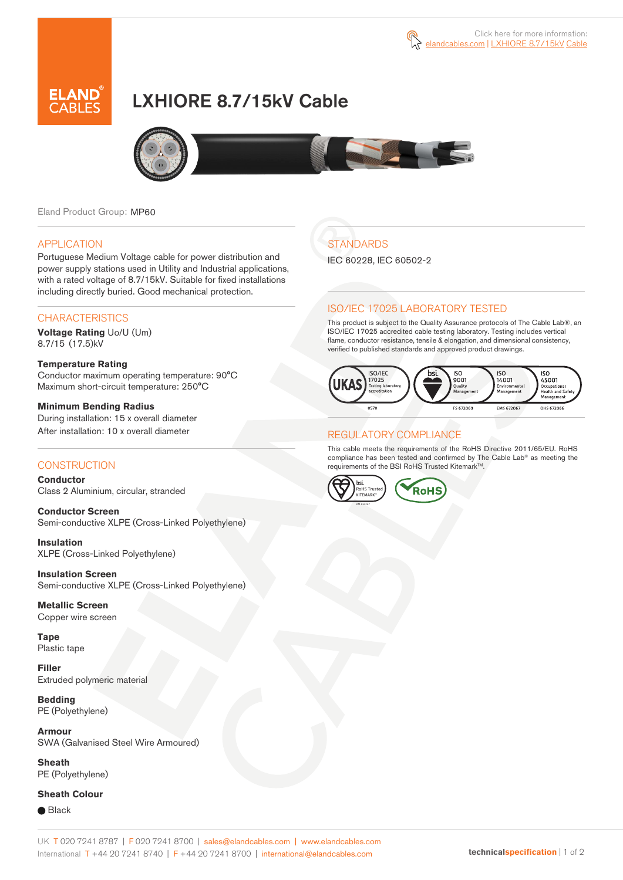

# LXHIORE 8.7/15kV Cable



Eland Product Group: MP60

### APPLICATION

Portuguese Medium Voltage cable for power distribution and power supply stations used in Utility and Industrial applications, with a rated voltage of 8.7/15kV. Suitable for fixed installations including directly buried. Good mechanical protection.

### **CHARACTERISTICS**

**Voltage Rating** Uo/U (Um) 8.7/15 (17.5)kV

#### **Temperature Rating**  Conductor maximum operating temperature: 90°C Maximum short-circuit temperature: 250°C

**Minimum Bending Radius**  During installation: 15 x overall diameter After installation: 10 x overall diameter

### **CONSTRUCTION**

**Conductor**  Class 2 Aluminium, circular, stranded

**Conductor Screen** Semi-conductive XLPE (Cross-Linked Polyethylene)

**Insulation** XLPE (Cross-Linked Polyethylene)

**Insulation Screen** Semi-conductive XLPE (Cross-Linked Polyethylene)

**Metallic Screen**  Copper wire screen

**Tape** Plastic tape

**Filler** Extruded polymeric material

**Bedding** PE (Polyethylene)

**Armour** SWA (Galvanised Steel Wire Armoured)

**Sheath** PE (Polyethylene)

### **Sheath Colour**

**■** Black

# **STANDARDS**

IEC 60228, IEC 60502-2

## ISO/IEC 17025 LABORATORY TESTED

This product is subject to the Quality Assurance protocols of The Cable Lab®, an ISO/IEC 17025 accredited cable testing laboratory. Testing includes vertical flame, conductor resistance, tensile & elongation, and dimensional consistency, verified to published standards and approved product drawings.



## REGULATORY COMPLIANCE

This cable meets the requirements of the RoHS Directive 2011/65/EU. RoHS compliance has been tested and confirmed by The Cable Lab® as meeting the requirements of the BSI RoHS Trusted Kitemark™.